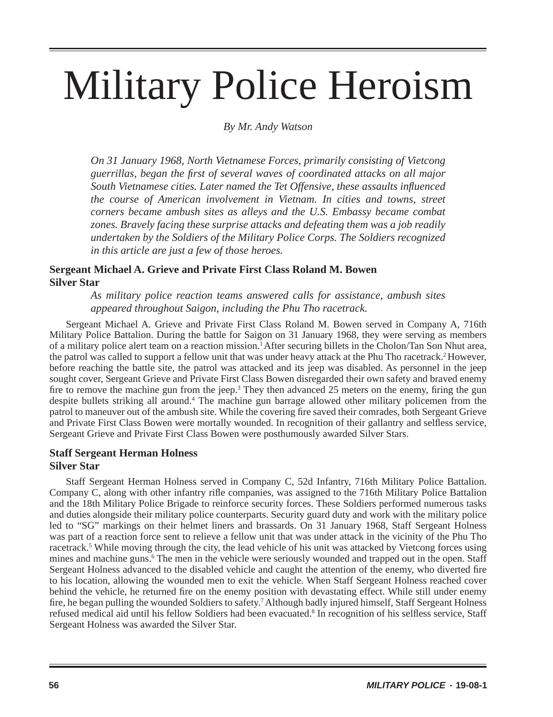# Military Police Heroism

*By Mr. Andy Watson*

*On 31 January 1968, North Vietnamese Forces, primarily consisting of Vietcong guerrillas, began the fi rst of several waves of coordinated attacks on all major South Vietnamese cities. Later named the Tet Offensive, these assaults influenced the course of American involvement in Vietnam. In cities and towns, street corners became ambush sites as alleys and the U.S. Embassy became combat zones. Bravely facing these surprise attacks and defeating them was a job readily undertaken by the Soldiers of the Military Police Corps. The Soldiers recognized in this article are just a few of those heroes.*

## **Sergeant Michael A. Grieve and Private First Class Roland M. Bowen Silver Star**

*As military police reaction teams answered calls for assistance, ambush sites appeared throughout Saigon, including the Phu Tho racetrack.*

Sergeant Michael A. Grieve and Private First Class Roland M. Bowen served in Company A, 716th Military Police Battalion. During the battle for Saigon on 31 January 1968, they were serving as members of a military police alert team on a reaction mission.1 After securing billets in the Cholon/Tan Son Nhut area, the patrol was called to support a fellow unit that was under heavy attack at the Phu Tho racetrack.<sup>2</sup> However, before reaching the battle site, the patrol was attacked and its jeep was disabled. As personnel in the jeep sought cover, Sergeant Grieve and Private First Class Bowen disregarded their own safety and braved enemy fire to remove the machine gun from the jeep.<sup>3</sup> They then advanced 25 meters on the enemy, firing the gun despite bullets striking all around.<sup>4</sup> The machine gun barrage allowed other military policemen from the patrol to maneuver out of the ambush site. While the covering fire saved their comrades, both Sergeant Grieve and Private First Class Bowen were mortally wounded. In recognition of their gallantry and selfless service, Sergeant Grieve and Private First Class Bowen were posthumously awarded Silver Stars.

### **Staff Sergeant Herman Holness Silver Star**

Staff Sergeant Herman Holness served in Company C, 52d Infantry, 716th Military Police Battalion. Company C, along with other infantry rifl e companies, was assigned to the 716th Military Police Battalion and the 18th Military Police Brigade to reinforce security forces. These Soldiers performed numerous tasks and duties alongside their military police counterparts. Security guard duty and work with the military police led to "SG" markings on their helmet liners and brassards. On 31 January 1968, Staff Sergeant Holness was part of a reaction force sent to relieve a fellow unit that was under attack in the vicinity of the Phu Tho racetrack.<sup>5</sup> While moving through the city, the lead vehicle of his unit was attacked by Vietcong forces using mines and machine guns.<sup>6</sup> The men in the vehicle were seriously wounded and trapped out in the open. Staff Sergeant Holness advanced to the disabled vehicle and caught the attention of the enemy, who diverted fire to his location, allowing the wounded men to exit the vehicle. When Staff Sergeant Holness reached cover behind the vehicle, he returned fire on the enemy position with devastating effect. While still under enemy fire, he began pulling the wounded Soldiers to safety.<sup>7</sup> Although badly injured himself, Staff Sergeant Holness refused medical aid until his fellow Soldiers had been evacuated.<sup>8</sup> In recognition of his selfless service, Staff Sergeant Holness was awarded the Silver Star.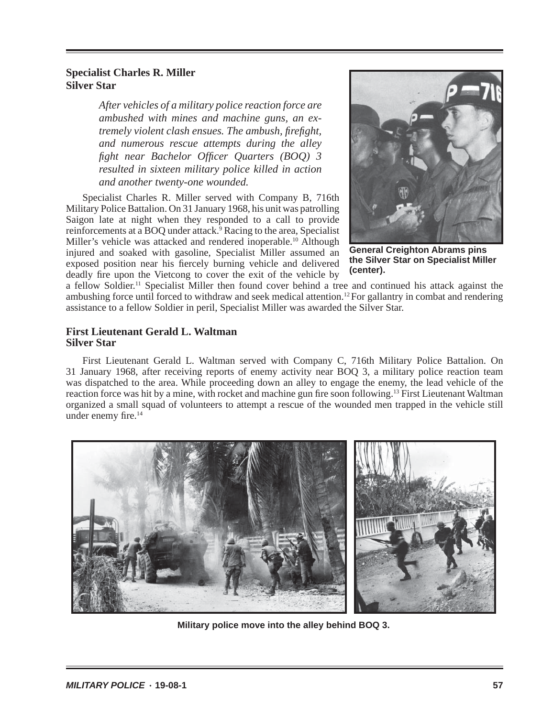### **Specialist Charles R. Miller Silver Star**

*After vehicles of a military police reaction force are ambushed with mines and machine guns, an extremely violent clash ensues. The ambush, fi refi ght, and numerous rescue attempts during the alley fight near Bachelor Officer Quarters (BOQ) 3 resulted in sixteen military police killed in action and another twenty-one wounded.* 

Specialist Charles R. Miller served with Company B, 716th Military Police Battalion. On 31 January 1968, his unit was patrolling Saigon late at night when they responded to a call to provide reinforcements at a BOQ under attack.<sup>9</sup> Racing to the area, Specialist Miller's vehicle was attacked and rendered inoperable.<sup>10</sup> Although injured and soaked with gasoline, Specialist Miller assumed an exposed position near his fiercely burning vehicle and delivered deadly fire upon the Vietcong to cover the exit of the vehicle by



**General Creighton Abrams pins the Silver Star on Specialist Miller (center).**

a fellow Soldier.11 Specialist Miller then found cover behind a tree and continued his attack against the ambushing force until forced to withdraw and seek medical attention.<sup>12</sup> For gallantry in combat and rendering assistance to a fellow Soldier in peril, Specialist Miller was awarded the Silver Star.

#### **First Lieutenant Gerald L. Waltman Silver Star**

First Lieutenant Gerald L. Waltman served with Company C, 716th Military Police Battalion. On 31 January 1968, after receiving reports of enemy activity near BOQ 3, a military police reaction team was dispatched to the area. While proceeding down an alley to engage the enemy, the lead vehicle of the reaction force was hit by a mine, with rocket and machine gun fire soon following.<sup>13</sup> First Lieutenant Waltman organized a small squad of volunteers to attempt a rescue of the wounded men trapped in the vehicle still under enemy fire. $14$ 



**Military police move into the alley behind BOQ 3.**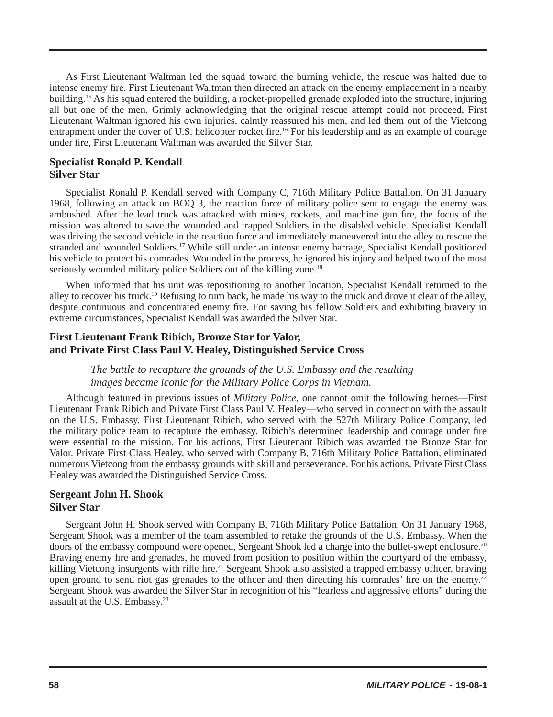As First Lieutenant Waltman led the squad toward the burning vehicle, the rescue was halted due to intense enemy fire. First Lieutenant Waltman then directed an attack on the enemy emplacement in a nearby building.15 As his squad entered the building, a rocket-propelled grenade exploded into the structure, injuring all but one of the men. Grimly acknowledging that the original rescue attempt could not proceed, First Lieutenant Waltman ignored his own injuries, calmly reassured his men, and led them out of the Vietcong entrapment under the cover of U.S. helicopter rocket fire.<sup>16</sup> For his leadership and as an example of courage under fire, First Lieutenant Waltman was awarded the Silver Star.

#### **Specialist Ronald P. Kendall Silver Star**

Specialist Ronald P. Kendall served with Company C, 716th Military Police Battalion. On 31 January 1968, following an attack on BOQ 3, the reaction force of military police sent to engage the enemy was ambushed. After the lead truck was attacked with mines, rockets, and machine gun fire, the focus of the mission was altered to save the wounded and trapped Soldiers in the disabled vehicle. Specialist Kendall was driving the second vehicle in the reaction force and immediately maneuvered into the alley to rescue the stranded and wounded Soldiers.<sup>17</sup> While still under an intense enemy barrage, Specialist Kendall positioned his vehicle to protect his comrades. Wounded in the process, he ignored his injury and helped two of the most seriously wounded military police Soldiers out of the killing zone.<sup>18</sup>

When informed that his unit was repositioning to another location, Specialist Kendall returned to the alley to recover his truck.<sup>19</sup> Refusing to turn back, he made his way to the truck and drove it clear of the alley, despite continuous and concentrated enemy fire. For saving his fellow Soldiers and exhibiting bravery in extreme circumstances, Specialist Kendall was awarded the Silver Star.

### **First Lieutenant Frank Ribich, Bronze Star for Valor, and Private First Class Paul V. Healey, Distinguished Service Cross**

#### *The battle to recapture the grounds of the U.S. Embassy and the resulting images became iconic for the Military Police Corps in Vietnam.*

Although featured in previous issues of *Military Police*, one cannot omit the following heroes—First Lieutenant Frank Ribich and Private First Class Paul V. Healey—who served in connection with the assault on the U.S. Embassy. First Lieutenant Ribich, who served with the 527th Military Police Company, led the military police team to recapture the embassy. Ribich's determined leadership and courage under fire were essential to the mission. For his actions, First Lieutenant Ribich was awarded the Bronze Star for Valor. Private First Class Healey, who served with Company B, 716th Military Police Battalion, eliminated numerous Vietcong from the embassy grounds with skill and perseverance. For his actions, Private First Class Healey was awarded the Distinguished Service Cross.

#### **Sergeant John H. Shook Silver Star**

Sergeant John H. Shook served with Company B, 716th Military Police Battalion. On 31 January 1968, Sergeant Shook was a member of the team assembled to retake the grounds of the U.S. Embassy. When the doors of the embassy compound were opened, Sergeant Shook led a charge into the bullet-swept enclosure.<sup>20</sup> Braving enemy fire and grenades, he moved from position to position within the courtyard of the embassy, killing Vietcong insurgents with rifle fire.<sup>21</sup> Sergeant Shook also assisted a trapped embassy officer, braving open ground to send riot gas grenades to the officer and then directing his comrades' fire on the enemy.<sup>22</sup> Sergeant Shook was awarded the Silver Star in recognition of his "fearless and aggressive efforts" during the assault at the U.S. Embassy.23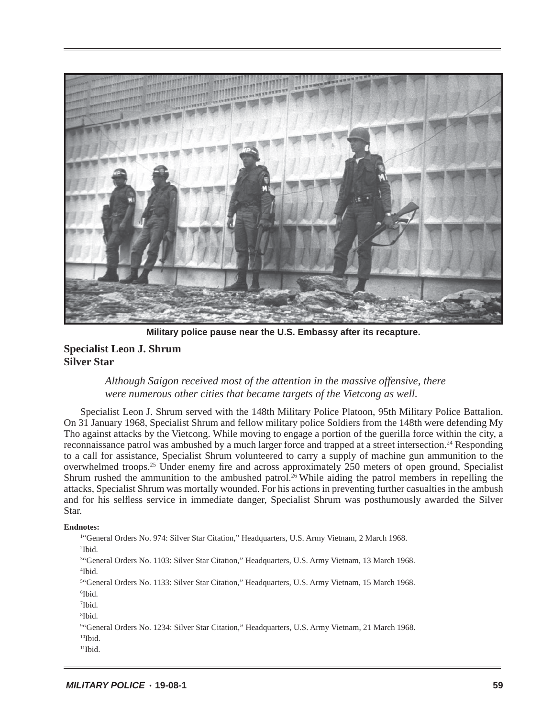

**Military police pause near the U.S. Embassy after its recapture.**

#### **Specialist Leon J. Shrum Silver Star**

*Although Saigon received most of the attention in the massive offensive, there were numerous other cities that became targets of the Vietcong as well.*

Specialist Leon J. Shrum served with the 148th Military Police Platoon, 95th Military Police Battalion. On 31 January 1968, Specialist Shrum and fellow military police Soldiers from the 148th were defending My Tho against attacks by the Vietcong. While moving to engage a portion of the guerilla force within the city, a reconnaissance patrol was ambushed by a much larger force and trapped at a street intersection.24 Responding to a call for assistance, Specialist Shrum volunteered to carry a supply of machine gun ammunition to the overwhelmed troops.<sup>25</sup> Under enemy fire and across approximately 250 meters of open ground, Specialist Shrum rushed the ammunition to the ambushed patrol.<sup>26</sup> While aiding the patrol members in repelling the attacks, Specialist Shrum was mortally wounded. For his actions in preventing further casualties in the ambush and for his selfless service in immediate danger, Specialist Shrum was posthumously awarded the Silver Star.

#### **Endnotes:**

1 "General Orders No. 974: Silver Star Citation," Headquarters, U.S. Army Vietnam, 2 March 1968. 2 Ibid. 3 "General Orders No. 1103: Silver Star Citation," Headquarters, U.S. Army Vietnam, 13 March 1968. 4 Ibid. 5 "General Orders No. 1133: Silver Star Citation," Headquarters, U.S. Army Vietnam, 15 March 1968.

6 Ibid.

- 7 Ibid.
- 8 Ibid.

```
9
"General Orders No. 1234: Silver Star Citation," Headquarters, U.S. Army Vietnam, 21 March 1968.
```
- <sup>10</sup>Ibid.
- $<sup>11</sup>$ Ibid.</sup>